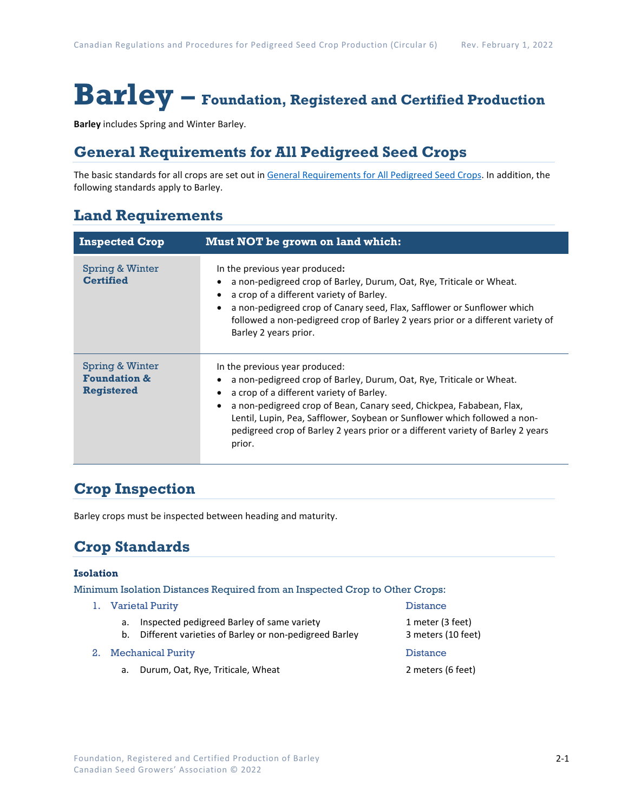# **Barley – Foundation, Registered and Certified Production**

**Barley** includes Spring and Winter Barley.

### **General Requirements for All Pedigreed Seed Crops**

The basic standards for all crops are set out i[n General Requirements for All Pedigreed Seed](https://seedgrowers.ca/wp-content/uploads/2020/01/GENERAL-REQUIREMENTS-ALL-CROPS_EN.pdf) Crops. In addition, the following standards apply to Barley.

### **Land Requirements**

| <b>Inspected Crop</b>                                           | Must NOT be grown on land which:                                                                                                                                                                                                                                                                                                                                                                     |  |  |
|-----------------------------------------------------------------|------------------------------------------------------------------------------------------------------------------------------------------------------------------------------------------------------------------------------------------------------------------------------------------------------------------------------------------------------------------------------------------------------|--|--|
| Spring & Winter<br><b>Certified</b>                             | In the previous year produced:<br>a non-pedigreed crop of Barley, Durum, Oat, Rye, Triticale or Wheat.<br>a crop of a different variety of Barley.<br>a non-pedigreed crop of Canary seed, Flax, Safflower or Sunflower which<br>followed a non-pedigreed crop of Barley 2 years prior or a different variety of<br>Barley 2 years prior.                                                            |  |  |
| Spring & Winter<br><b>Foundation &amp;</b><br><b>Registered</b> | In the previous year produced:<br>a non-pedigreed crop of Barley, Durum, Oat, Rye, Triticale or Wheat.<br>a crop of a different variety of Barley.<br>a non-pedigreed crop of Bean, Canary seed, Chickpea, Fababean, Flax,<br>Lentil, Lupin, Pea, Safflower, Soybean or Sunflower which followed a non-<br>pedigreed crop of Barley 2 years prior or a different variety of Barley 2 years<br>prior. |  |  |

# **Crop Inspection**

Barley crops must be inspected between heading and maturity.

# **Crop Standards**

#### **Isolation**

Minimum Isolation Distances Required from an Inspected Crop to Other Crops:

- 1. Varietal Purity **Distance** 
	- a. Inspected pedigreed Barley of same variety **1** meter (3 feet)
	- b. Different varieties of Barley or non-pedigreed Barley 3 meters (10 feet)
- 2. Mechanical Purity Distance
	- a. Durum, Oat, Rye, Triticale, Wheat 2 meters (6 feet)